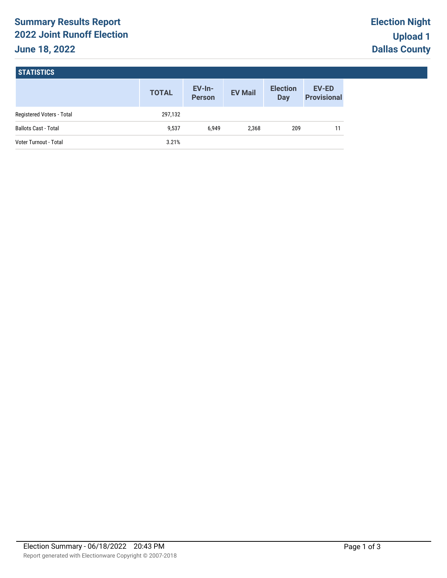# **Summary Results Report 2022 Joint Runoff Election June 18, 2022**

### **STATISTICS**

|                             | <b>TOTAL</b> | $EV-In-$<br><b>Person</b> | <b>EV Mail</b> | <b>Election</b><br><b>Day</b> | <b>EV-ED</b><br><b>Provisional</b> |
|-----------------------------|--------------|---------------------------|----------------|-------------------------------|------------------------------------|
| Registered Voters - Total   | 297,132      |                           |                |                               |                                    |
| <b>Ballots Cast - Total</b> | 9,537        | 6.949                     | 2,368          | 209                           |                                    |
| Voter Turnout - Total       | 3.21%        |                           |                |                               |                                    |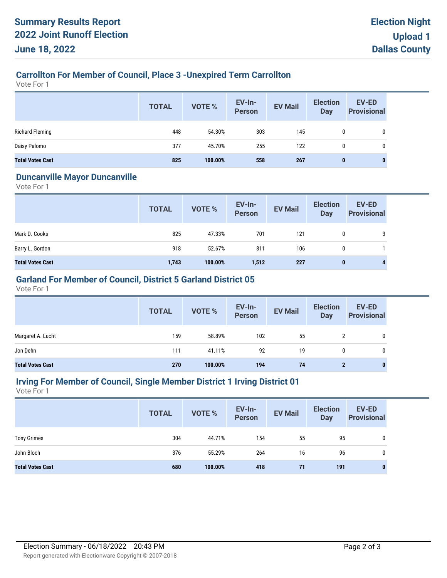# **Carrollton For Member of Council, Place 3 -Unexpired Term Carrollton**

Vote For 1

|                         | <b>TOTAL</b> | VOTE %  | EV-In-<br><b>Person</b> | <b>EV Mail</b> | <b>Election</b><br><b>Day</b> | <b>EV-ED</b><br><b>Provisional</b> |
|-------------------------|--------------|---------|-------------------------|----------------|-------------------------------|------------------------------------|
| <b>Richard Fleming</b>  | 448          | 54.30%  | 303                     | 145            | 0                             | 0                                  |
| Daisy Palomo            | 377          | 45.70%  | 255                     | 122            | 0                             | 0                                  |
| <b>Total Votes Cast</b> | 825          | 100.00% | 558                     | 267            | 0                             |                                    |

#### **Duncanville Mayor Duncanville**

Vote For 1

|                         | <b>TOTAL</b> | VOTE %  | <b>EV-In-</b><br><b>Person</b> | <b>EV Mail</b> | <b>Election</b><br><b>Day</b> | <b>EV-ED</b><br><b>Provisional</b> |
|-------------------------|--------------|---------|--------------------------------|----------------|-------------------------------|------------------------------------|
| Mark D. Cooks           | 825          | 47.33%  | 701                            | 121            | 0                             | 3                                  |
| Barry L. Gordon         | 918          | 52.67%  | 811                            | 106            | $\mathbf{0}$                  |                                    |
| <b>Total Votes Cast</b> | 1,743        | 100.00% | 1,512                          | 227            | $\bf{0}$                      | 4                                  |

# **Garland For Member of Council, District 5 Garland District 05**

Vote For 1

|                         | <b>TOTAL</b> | VOTE %  | EV-In-<br>Person | <b>EV Mail</b> | <b>Election</b><br>Day | <b>EV-ED</b><br><b>Provisional</b> |
|-------------------------|--------------|---------|------------------|----------------|------------------------|------------------------------------|
| Margaret A. Lucht       | 159          | 58.89%  | 102              | 55             | 2                      | 0                                  |
| Jon Dehn                | 111          | 41.11%  | 92               | 19             | 0                      | 0                                  |
| <b>Total Votes Cast</b> | 270          | 100.00% | 194              | 74             |                        | 0                                  |

# **Irving For Member of Council, Single Member District 1 Irving District 01**

Vote For 1

|                         | <b>TOTAL</b> | VOTE %  | <b>EV-In-</b><br><b>Person</b> | <b>EV Mail</b> | <b>Election</b><br><b>Day</b> | <b>EV-ED</b><br><b>Provisional</b> |
|-------------------------|--------------|---------|--------------------------------|----------------|-------------------------------|------------------------------------|
| <b>Tony Grimes</b>      | 304          | 44.71%  | 154                            | 55             | 95                            | 0                                  |
| John Bloch              | 376          | 55.29%  | 264                            | 16             | 96                            | 0                                  |
| <b>Total Votes Cast</b> | 680          | 100.00% | 418                            | 71             | 191                           | 0                                  |